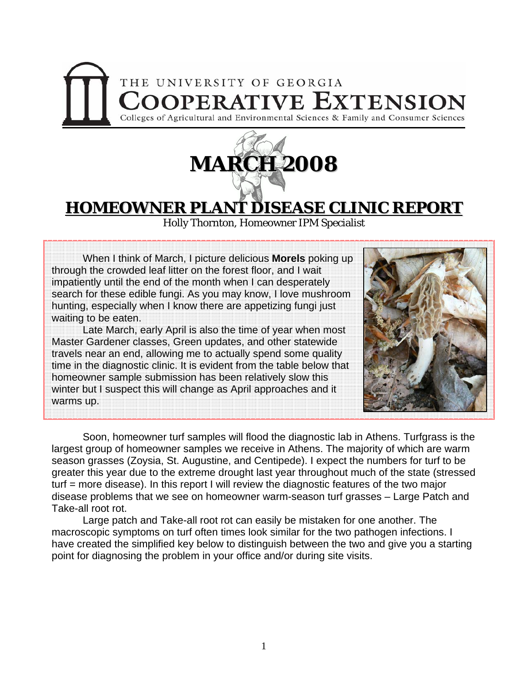## THE UNIVERSITY OF GEORGIA **COOPERATIVE EXTENSION** Colleges of Agricultural and Environmental Sciences & Family and Consumer Sciences



## **HOMEOWNER PLANT DISEASE CLINIC REPORT**

Holly Thornton, Homeowner IPM Specialist

When I think of March, I picture delicious **Morels** poking up through the crowded leaf litter on the forest floor, and I wait impatiently until the end of the month when I can desperately search for these edible fungi. As you may know, I love mushroom hunting, especially when I know there are appetizing fungi just waiting to be eaten.

 Late March, early April is also the time of year when most Master Gardener classes, Green updates, and other statewide travels near an end, allowing me to actually spend some quality time in the diagnostic clinic. It is evident from the table below that homeowner sample submission has been relatively slow this winter but I suspect this will change as April approaches and it warms up.



Soon, homeowner turf samples will flood the diagnostic lab in Athens. Turfgrass is the largest group of homeowner samples we receive in Athens. The majority of which are warm season grasses (Zoysia, St. Augustine, and Centipede). I expect the numbers for turf to be greater this year due to the extreme drought last year throughout much of the state (stressed turf = more disease). In this report I will review the diagnostic features of the two major disease problems that we see on homeowner warm-season turf grasses – Large Patch and Take-all root rot.

 Large patch and Take-all root rot can easily be mistaken for one another. The macroscopic symptoms on turf often times look similar for the two pathogen infections. I have created the simplified key below to distinguish between the two and give you a starting point for diagnosing the problem in your office and/or during site visits.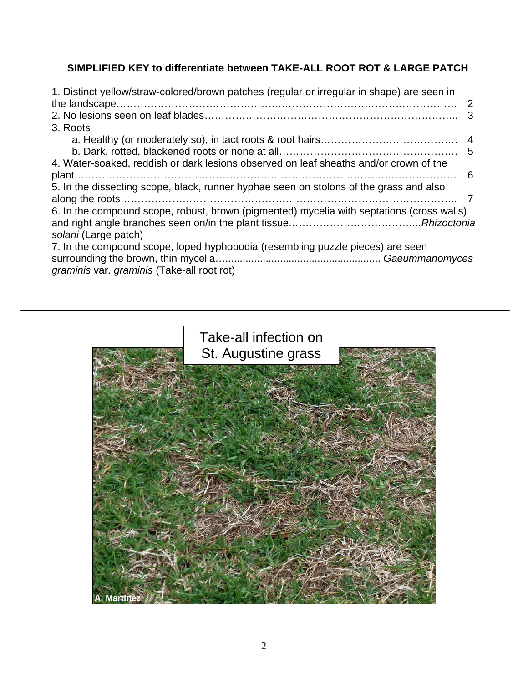## **SIMPLIFIED KEY to differentiate between TAKE-ALL ROOT ROT & LARGE PATCH**

| 1. Distinct yellow/straw-colored/brown patches (regular or irregular in shape) are seen in |    |
|--------------------------------------------------------------------------------------------|----|
|                                                                                            |    |
|                                                                                            |    |
| 3. Roots                                                                                   |    |
|                                                                                            |    |
|                                                                                            |    |
| 4. Water-soaked, reddish or dark lesions observed on leaf sheaths and/or crown of the      |    |
|                                                                                            | -6 |
| 5. In the dissecting scope, black, runner hyphae seen on stolons of the grass and also     |    |
|                                                                                            |    |
| 6. In the compound scope, robust, brown (pigmented) mycelia with septations (cross walls)  |    |
|                                                                                            |    |
| solani (Large patch)                                                                       |    |
| 7. In the compound scope, loped hyphopodia (resembling puzzle pieces) are seen             |    |
|                                                                                            |    |
| graminis var. graminis (Take-all root rot)                                                 |    |

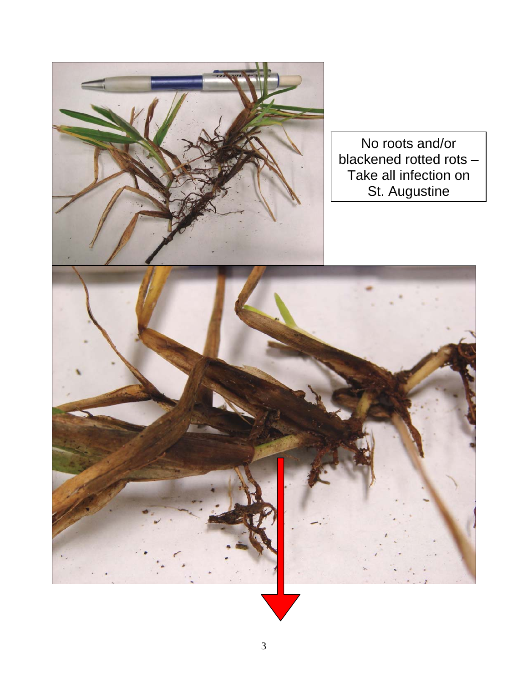

No roots and/or blackened rotted rots -Take all infection on St. Augustine

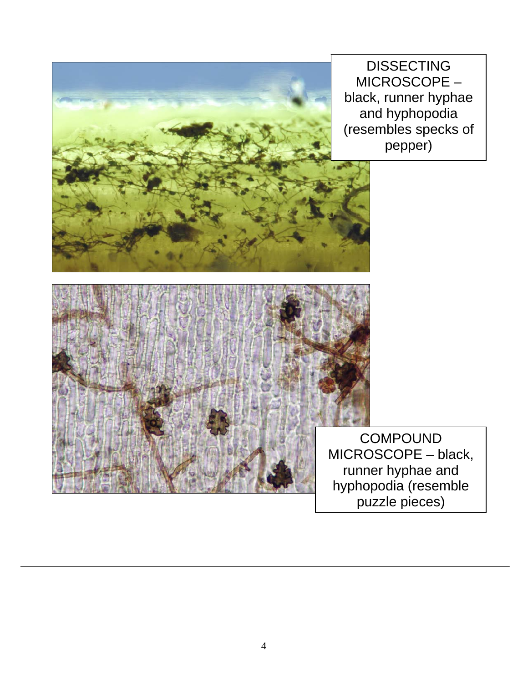

DISSECTING MICROSCOPE – black, runner hyphae and hyphopodia (resembles specks of pepper)



٦

**COMPOUND** MICROSCOPE – black, runner hyphae and hyphopodia (resemble puzzle pieces)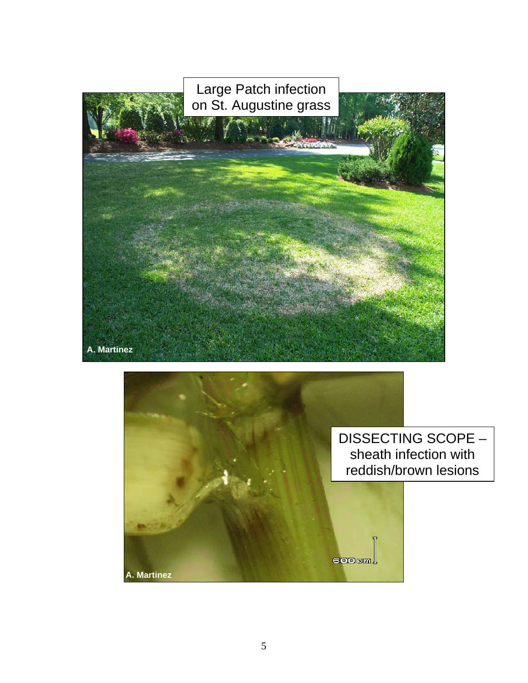

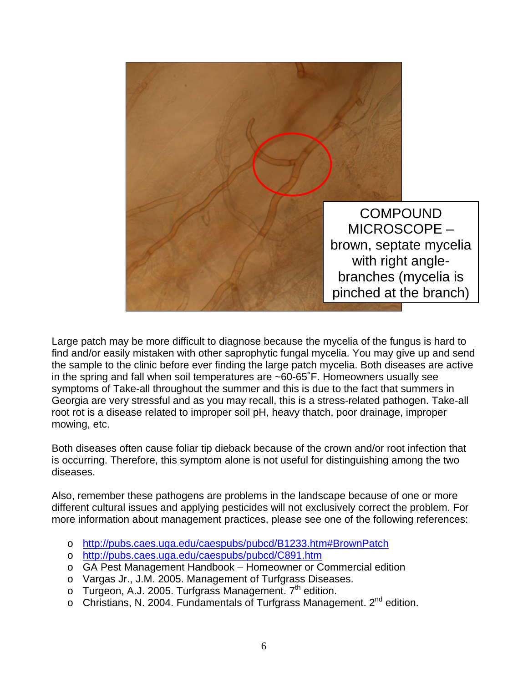

Large patch may be more difficult to diagnose because the mycelia of the fungus is hard to find and/or easily mistaken with other saprophytic fungal mycelia. You may give up and send the sample to the clinic before ever finding the large patch mycelia. Both diseases are active in the spring and fall when soil temperatures are ~60-65˚F. Homeowners usually see symptoms of Take-all throughout the summer and this is due to the fact that summers in Georgia are very stressful and as you may recall, this is a stress-related pathogen. Take-all root rot is a disease related to improper soil pH, heavy thatch, poor drainage, improper mowing, etc.

Both diseases often cause foliar tip dieback because of the crown and/or root infection that is occurring. Therefore, this symptom alone is not useful for distinguishing among the two diseases.

Also, remember these pathogens are problems in the landscape because of one or more different cultural issues and applying pesticides will not exclusively correct the problem. For more information about management practices, please see one of the following references:

- o http://pubs.caes.uga.edu/caespubs/pubcd/B1233.htm#BrownPatch
- o http://pubs.caes.uga.edu/caespubs/pubcd/C891.htm
- o GA Pest Management Handbook Homeowner or Commercial edition
- o Vargas Jr., J.M. 2005. Management of Turfgrass Diseases.
- $\circ$  Turgeon, A.J. 2005. Turfgrass Management.  $7<sup>th</sup>$  edition.
- $\circ$  Christians, N. 2004. Fundamentals of Turfgrass Management. 2<sup>nd</sup> edition.